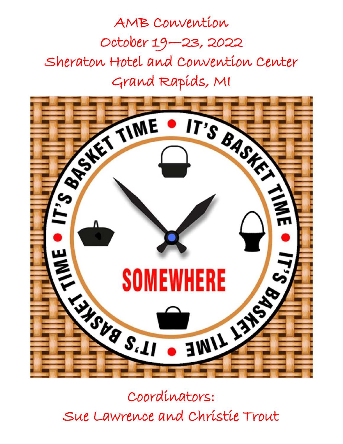AMB Convention October 19—23, 2022 Sheraton Hotel and Convention Center Grand Rapids, MI



Coordinators: Sue Lawrence and Christie Trout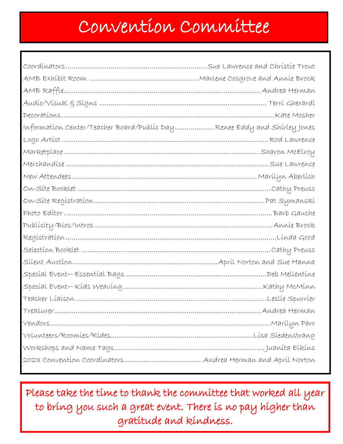## Convention Committee

| Information Center/Teacher Board/Public Day Renee Eddy and Shirley Jones |  |
|--------------------------------------------------------------------------|--|
|                                                                          |  |
|                                                                          |  |
|                                                                          |  |
|                                                                          |  |
|                                                                          |  |
|                                                                          |  |
|                                                                          |  |
|                                                                          |  |
|                                                                          |  |
|                                                                          |  |
|                                                                          |  |
|                                                                          |  |
|                                                                          |  |
|                                                                          |  |
|                                                                          |  |
|                                                                          |  |
|                                                                          |  |
|                                                                          |  |
|                                                                          |  |

Please take the time to thank the committee that worked all year to bring you such a great event. There is no pay higher than gratitude and kindness.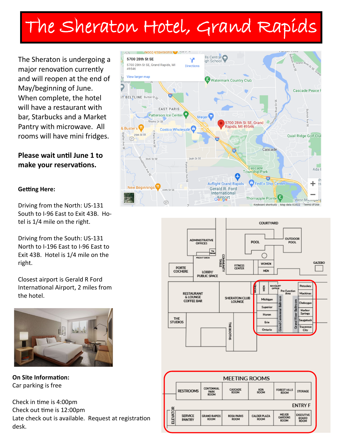## The Sheraton Hotel, Grand Rapids

The Sheraton is undergoing a major renovation currently and will reopen at the end of May/beginning of June. When complete, the hotel will have a restaurant with bar, Starbucks and a Market Pantry with microwave. All rooms will have mini fridges.

**Please wait until June 1 to make your reservations.**

## **Getting Here:**

Driving from the North: US-131 South to I-96 East to Exit 43B. Hotel is 1/4 mile on the right.

Driving from the South: US-131 North to I-196 East to I-96 East to Exit 43B. Hotel is 1/4 mile on the right.

Closest airport is Gerald R Ford International Airport, 2 miles from the hotel.



**On Site Information:** Car parking is free

Check in time is 4:00pm Check out time is 12:00pm Late check out is available. Request at registration desk.